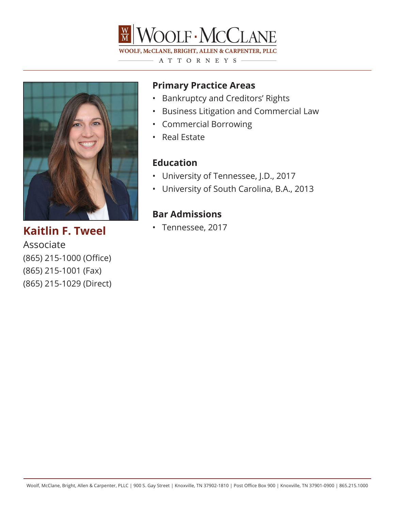



• Tennessee, 2017 **Kaitlin F. Tweel** Associate (865) 215-1000 (Office) (865) 215-1001 (Fax) (865) 215-1029 (Direct)

## **Primary Practice Areas**

- Bankruptcy and Creditors' Rights
- Business Litigation and Commercial Law
- Commercial Borrowing
- Real Estate

## **Education**

- University of Tennessee, J.D., 2017
- University of South Carolina, B.A., 2013

## **Bar Admissions**